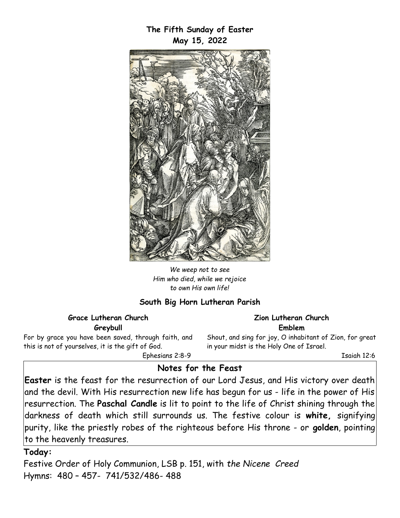**The Fifth Sunday of Easter May 15, 2022**



*We weep not to see Him who died, while we rejoice to own His own life!*

### **South Big Horn Lutheran Parish**

#### **Grace Lutheran Church Greybull**

For by grace you have been saved, through faith, and this is not of yourselves, it is the gift of God. Ephesians 2:8-9

**Zion Lutheran Church Emblem**

Shout, and sing for joy, O inhabitant of Zion, for great in your midst is the Holy One of Israel.

Isaiah 12:6

# **Notes for the Feast**

**Easter** is the feast for the resurrection of our Lord Jesus, and His victory over death and the devil. With His resurrection new life has begun for us - life in the power of His resurrection. The **Paschal Candle** is lit to point to the life of Christ shining through the darkness of death which still surrounds us. The festive colour is **white,** signifying purity, like the priestly robes of the righteous before His throne - or **golden**, pointing to the heavenly treasures.

### **Today:**

Festive Order of Holy Communion, LSB p. 151, with *the Nicene Creed* Hymns: 480 – 457- 741/532/486- 488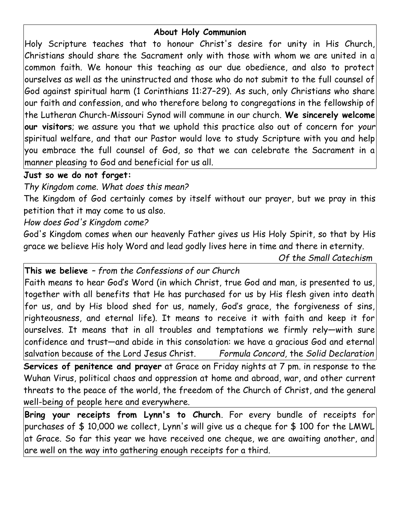# **About Holy Communion**

Holy Scripture teaches that to honour Christ's desire for unity in His Church, Christians should share the Sacrament only with those with whom we are united in a common faith. We honour this teaching as our due obedience, and also to protect ourselves as well as the uninstructed and those who do not submit to the full counsel of God against spiritual harm (1 Corinthians 11:27–29). As such, only Christians who share our faith and confession, and who therefore belong to congregations in the fellowship of the Lutheran Church-Missouri Synod will commune in our church. **We sincerely welcome our visitors**; we assure you that we uphold this practice also out of concern for *your* spiritual welfare, and that our Pastor would love to study Scripture with you and help you embrace the full counsel of God, so that we can celebrate the Sacrament in a manner pleasing to God and beneficial for us all.

### **Just so we do not forget:**

*Thy Kingdom come. What does this mean?*

The Kingdom of God certainly comes by itself without our prayer, but we pray in this petition that it may come to us also.

# *How does God's Kingdom come?*

God's Kingdom comes when our heavenly Father gives us His Holy Spirit, so that by His grace we believe His holy Word and lead godly lives here in time and there in eternity.

*Of the Small Catechism*

**This we believe** *– from the Confessions of our Church*

Faith means to hear God's Word (in which Christ, true God and man, is presented to us, together with all benefits that He has purchased for us by His flesh given into death for us, and by His blood shed for us, namely, God's grace, the forgiveness of sins, righteousness, and eternal life). It means to receive it with faith and keep it for ourselves. It means that in all troubles and temptations we firmly rely—with sure confidence and trust—and abide in this consolation: we have a gracious God and eternal salvation because of the Lord Jesus Christ. *Formula Concord,* the *Solid Declaration*

**Services of penitence and prayer** at Grace on Friday nights at 7 pm. in response to the Wuhan Virus, political chaos and oppression at home and abroad, war, and other current threats to the peace of the world, the freedom of the Church of Christ, and the general well-being of people here and everywhere.

**Bring your receipts from Lynn's to Church**. For every bundle of receipts for purchases of \$ 10,000 we collect, Lynn's will give us a cheque for \$ 100 for the LMWL at Grace. So far this year we have received one cheque, we are awaiting another, and are well on the way into gathering enough receipts for a third.